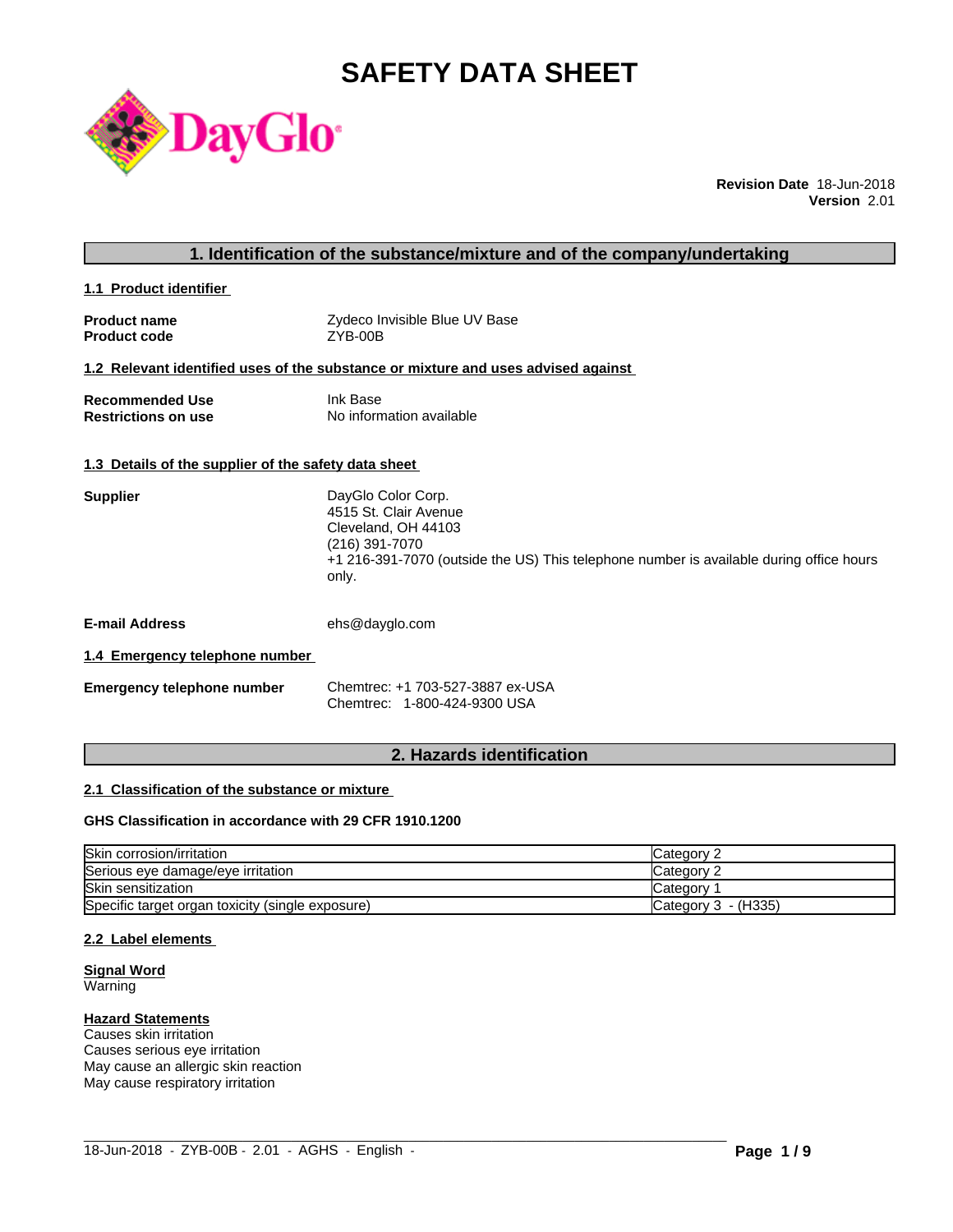# **SAFETY DATA SHEET**



**Revision Date** 18-Jun-2018 **Version** 2.01

#### **1. Identification of the substance/mixture and of the company/undertaking**

**1.1 Product identifier** 

**Product name** The State of Text Alle Convisible Blue UV Base<br> **Product code** The STANDING THE ZYB-00B **Product code** 

### **1.2 Relevant identified uses of the substance or mixture and uses advised against**

| <b>Recommended Use</b>     | Ink Base                 |
|----------------------------|--------------------------|
| <b>Restrictions on use</b> | No information available |

#### **1.3 Details of the supplier of the safety data sheet**

| <b>Supplier</b> | DayGlo Color Corp.                                                                      |
|-----------------|-----------------------------------------------------------------------------------------|
|                 | 4515 St. Clair Avenue                                                                   |
|                 | Cleveland, OH 44103                                                                     |
|                 | (216) 391-7070                                                                          |
|                 | +1 216-391-7070 (outside the US) This telephone number is available during office hours |
|                 | only.                                                                                   |

**E-mail Address** ehs@dayglo.com

#### **1.4 Emergency telephone number**

| <b>Emergency telephone number</b> | Chemtrec: +1 703-527-3887 ex-USA |
|-----------------------------------|----------------------------------|
|                                   | Chemtrec: 1-800-424-9300 USA     |

# **2. Hazards identification**

#### **2.1 Classification of the substance or mixture**

# **GHS Classification in accordance with 29 CFR 1910.1200**

| Skin corrosion/irritation                        | Category 2          |
|--------------------------------------------------|---------------------|
| Serious eye damage/eye irritation                | Category?           |
| Skin sensitization                               | Category            |
| Specific target organ toxicity (single exposure) | Category 3 - (H335) |

 $\_$  ,  $\_$  ,  $\_$  ,  $\_$  ,  $\_$  ,  $\_$  ,  $\_$  ,  $\_$  ,  $\_$  ,  $\_$  ,  $\_$  ,  $\_$  ,  $\_$  ,  $\_$  ,  $\_$  ,  $\_$  ,  $\_$  ,  $\_$  ,  $\_$  ,  $\_$  ,  $\_$  ,  $\_$  ,  $\_$  ,  $\_$  ,  $\_$  ,  $\_$  ,  $\_$  ,  $\_$  ,  $\_$  ,  $\_$  ,  $\_$  ,  $\_$  ,  $\_$  ,  $\_$  ,  $\_$  ,  $\_$  ,  $\_$  ,

#### **2.2 Label elements**

**Signal Word Warning** 

#### **Hazard Statements**

Causes skin irritation Causes serious eye irritation May cause an allergic skin reaction May cause respiratory irritation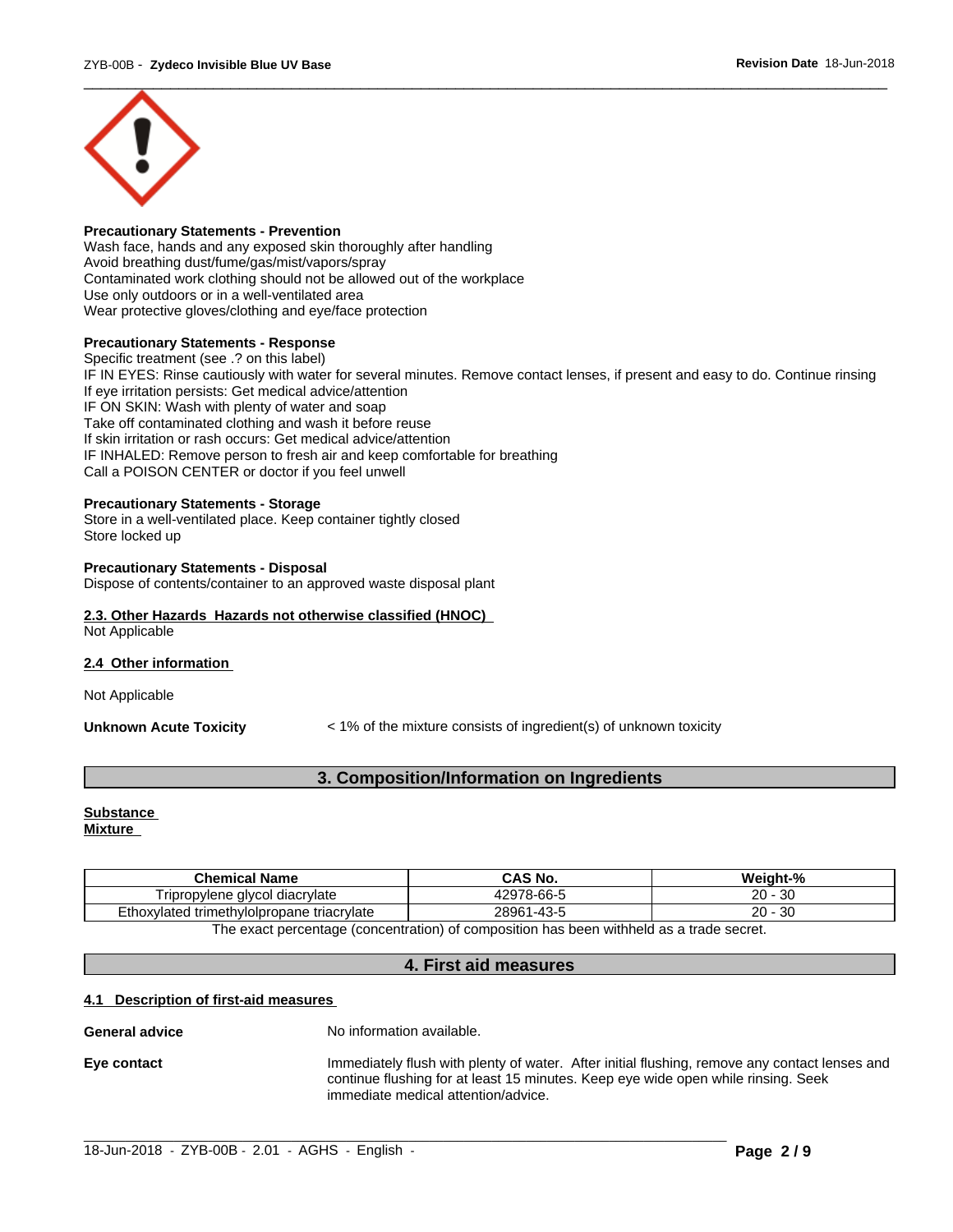

#### **Precautionary Statements - Prevention**

Wash face, hands and any exposed skin thoroughly after handling Avoid breathing dust/fume/gas/mist/vapors/spray Contaminated work clothing should not be allowed out of the workplace Use only outdoors or in a well-ventilated area Wear protective gloves/clothing and eye/face protection

#### **Precautionary Statements - Response**

Specific treatment (see .? on this label) IF IN EYES: Rinse cautiously with water for several minutes. Remove contact lenses, if present and easy to do. Continue rinsing If eye irritation persists: Get medical advice/attention IF ON SKIN: Wash with plenty of water and soap Take off contaminated clothing and wash it before reuse If skin irritation or rash occurs: Get medical advice/attention IF INHALED: Remove person to fresh air and keep comfortable for breathing Call a POISON CENTER or doctor if you feel unwell

#### **Precautionary Statements - Storage**

Store in a well-ventilated place. Keep container tightly closed Store locked up

#### **Precautionary Statements - Disposal**

Dispose of contents/container to an approved waste disposal plant

#### **2.3. Other Hazards Hazards not otherwise classified (HNOC)** Not Applicable

#### **2.4 Other information**

Not Applicable

**Unknown Acute Toxicity**  $\leq 1\%$  of the mixture consists of ingredient(s) of unknown toxicity

# **3. Composition/Information on Ingredients**

# **Substance**

**Mixture**

| <b>Chemical Name</b>                                                                    | CAS No.                | Weight-%       |  |
|-----------------------------------------------------------------------------------------|------------------------|----------------|--|
| Tripropylene alvcol<br>I diacrvlate                                                     | 12978-66-5             | 20<br>-30      |  |
| Ethoxylated trimethylolpropane triacrylate                                              | 28961<br>$`1 - 43 - 5$ | ົ<br>-30<br>zυ |  |
| The exact perceptage (concentration) of composition has been withhold as a trade coaret |                        |                |  |

The exact percentage (concentration) of composition has been withheld as a trade secret.

#### **4. First aid measures**

#### **4.1 Description of first-aid measures**

#### **General advice** No information available.

**Eye contact** Immediately flush with plenty of water. After initial flushing, remove any contact lenses and continue flushing for at least 15 minutes. Keep eye wide open while rinsing. Seek immediate medical attention/advice.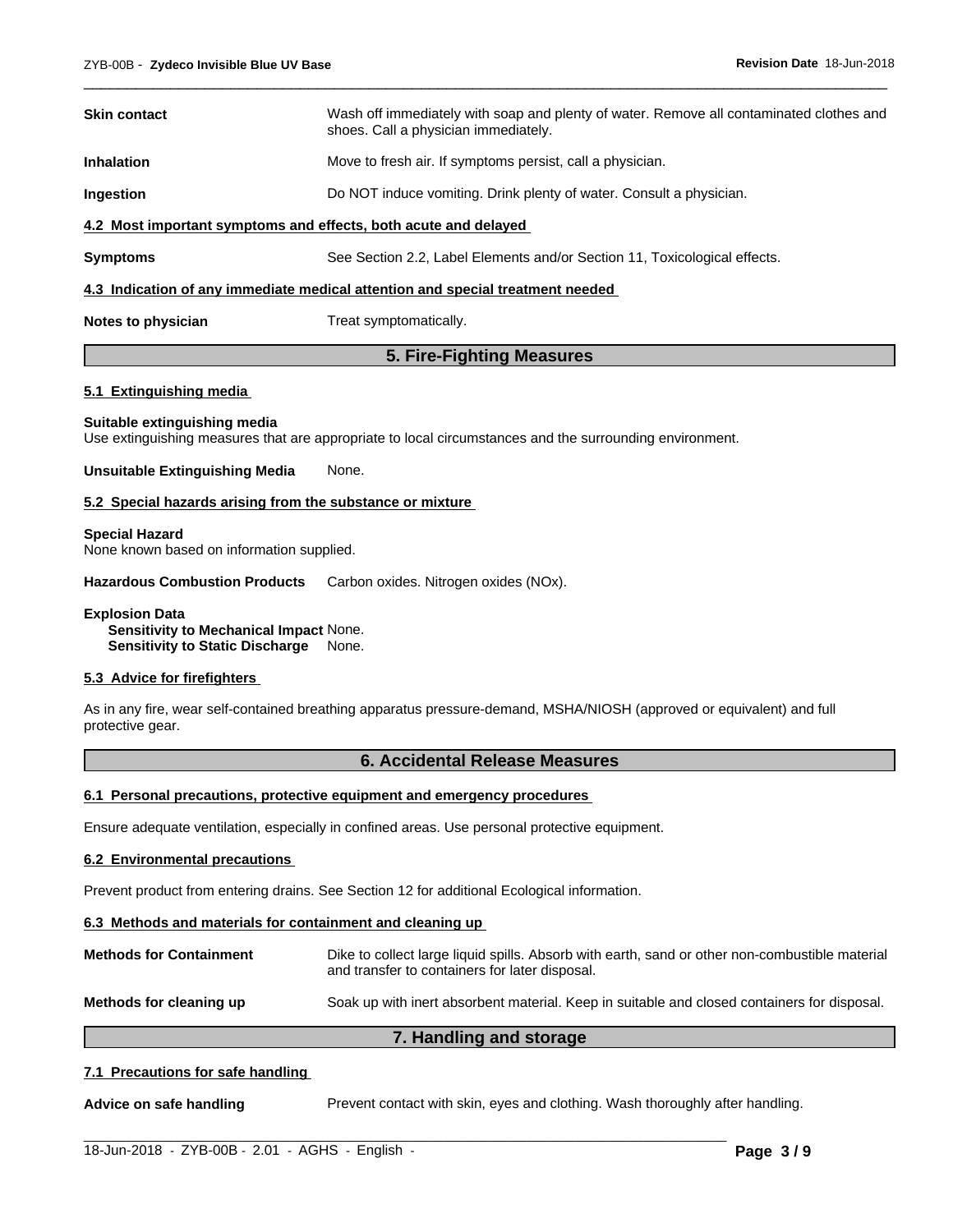| <b>Skin contact</b>                                                            | Wash off immediately with soap and plenty of water. Remove all contaminated clothes and<br>shoes. Call a physician immediately. |  |  |
|--------------------------------------------------------------------------------|---------------------------------------------------------------------------------------------------------------------------------|--|--|
| <b>Inhalation</b>                                                              | Move to fresh air. If symptoms persist, call a physician.                                                                       |  |  |
| Ingestion                                                                      | Do NOT induce vomiting. Drink plenty of water. Consult a physician.                                                             |  |  |
| 4.2 Most important symptoms and effects, both acute and delayed                |                                                                                                                                 |  |  |
| <b>Symptoms</b>                                                                | See Section 2.2, Label Elements and/or Section 11, Toxicological effects.                                                       |  |  |
| 4.3 Indication of any immediate medical attention and special treatment needed |                                                                                                                                 |  |  |
| Notes to physician                                                             | Treat symptomatically.                                                                                                          |  |  |

 $\overline{\phantom{a}}$  ,  $\overline{\phantom{a}}$  ,  $\overline{\phantom{a}}$  ,  $\overline{\phantom{a}}$  ,  $\overline{\phantom{a}}$  ,  $\overline{\phantom{a}}$  ,  $\overline{\phantom{a}}$  ,  $\overline{\phantom{a}}$  ,  $\overline{\phantom{a}}$  ,  $\overline{\phantom{a}}$  ,  $\overline{\phantom{a}}$  ,  $\overline{\phantom{a}}$  ,  $\overline{\phantom{a}}$  ,  $\overline{\phantom{a}}$  ,  $\overline{\phantom{a}}$  ,  $\overline{\phantom{a}}$ 

# **5. Fire-Fighting Measures**

#### **5.1 Extinguishing media**

#### **Suitable extinguishing media**

Use extinguishing measures that are appropriate to local circumstances and the surrounding environment.

#### **Unsuitable Extinguishing Media** None.

#### **5.2 Special hazards arising from the substance or mixture**

#### **Special Hazard**

None known based on information supplied.

**Hazardous Combustion Products** Carbon oxides. Nitrogen oxides (NOx).

**Explosion Data Sensitivity to Mechanical Impact** None.

**Sensitivity to Static Discharge** None.

#### **5.3 Advice for firefighters**

As in any fire, wear self-contained breathing apparatus pressure-demand, MSHA/NIOSH (approved or equivalent) and full protective gear.

### **6. Accidental Release Measures**

#### **6.1 Personal precautions, protective equipment and emergency procedures**

Ensure adequate ventilation, especially in confined areas. Use personal protective equipment.

#### **6.2 Environmental precautions**

Prevent product from entering drains. See Section 12 for additional Ecological information.

#### **6.3 Methods and materials for containment and cleaning up**

| <b>Methods for Containment</b> | Dike to collect large liquid spills. Absorb with earth, sand or other non-combustible material<br>and transfer to containers for later disposal. |
|--------------------------------|--------------------------------------------------------------------------------------------------------------------------------------------------|
| Methods for cleaning up        | Soak up with inert absorbent material. Keep in suitable and closed containers for disposal.                                                      |

#### **7. Handling and storage**

#### **7.1 Precautions for safe handling**

**Advice on safe handling** Prevent contact with skin, eyes and clothing. Wash thoroughly after handling.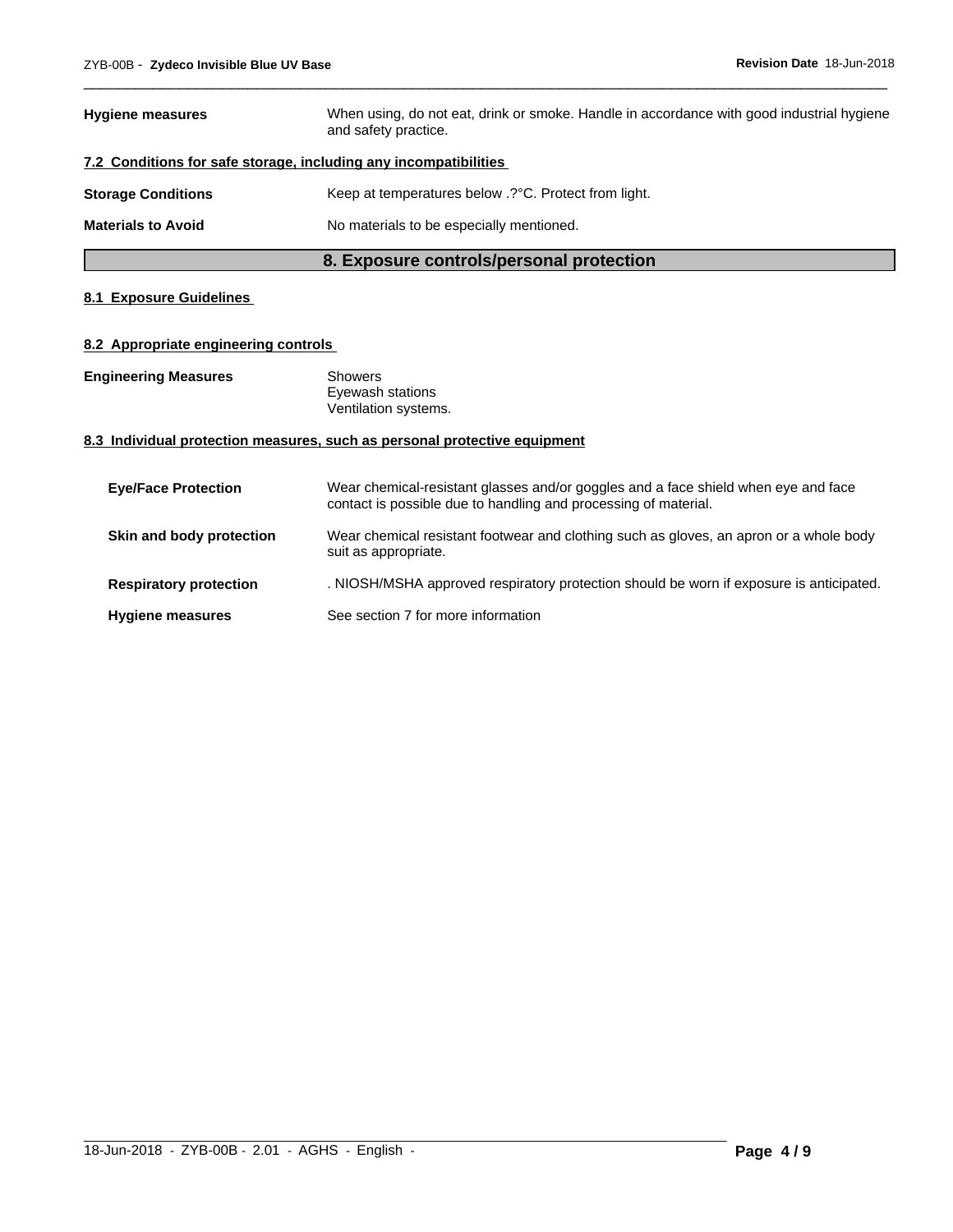|                           | 8. Exposure controls/personal protection                                                                          |  |  |
|---------------------------|-------------------------------------------------------------------------------------------------------------------|--|--|
| <b>Materials to Avoid</b> | No materials to be especially mentioned.                                                                          |  |  |
| <b>Storage Conditions</b> | Keep at temperatures below .? °C. Protect from light.                                                             |  |  |
|                           | 7.2 Conditions for safe storage, including any incompatibilities                                                  |  |  |
| <b>Hygiene measures</b>   | When using, do not eat, drink or smoke. Handle in accordance with good industrial hygiene<br>and safety practice. |  |  |

 $\overline{\phantom{a}}$  ,  $\overline{\phantom{a}}$  ,  $\overline{\phantom{a}}$  ,  $\overline{\phantom{a}}$  ,  $\overline{\phantom{a}}$  ,  $\overline{\phantom{a}}$  ,  $\overline{\phantom{a}}$  ,  $\overline{\phantom{a}}$  ,  $\overline{\phantom{a}}$  ,  $\overline{\phantom{a}}$  ,  $\overline{\phantom{a}}$  ,  $\overline{\phantom{a}}$  ,  $\overline{\phantom{a}}$  ,  $\overline{\phantom{a}}$  ,  $\overline{\phantom{a}}$  ,  $\overline{\phantom{a}}$ 

# **8.1 Exposure Guidelines**

### **8.2 Appropriate engineering controls**

| <b>Engineering Measures</b> | Showers              |  |
|-----------------------------|----------------------|--|
|                             | Eyewash stations     |  |
|                             | Ventilation systems. |  |

# **8.3 Individual protection measures, such as personal protective equipment**

| <b>Eye/Face Protection</b>    | Wear chemical-resistant glasses and/or goggles and a face shield when eye and face<br>contact is possible due to handling and processing of material. |
|-------------------------------|-------------------------------------------------------------------------------------------------------------------------------------------------------|
| Skin and body protection      | Wear chemical resistant footwear and clothing such as gloves, an apron or a whole body<br>suit as appropriate.                                        |
| <b>Respiratory protection</b> | . NIOSH/MSHA approved respiratory protection should be worn if exposure is anticipated.                                                               |
| <b>Hygiene measures</b>       | See section 7 for more information                                                                                                                    |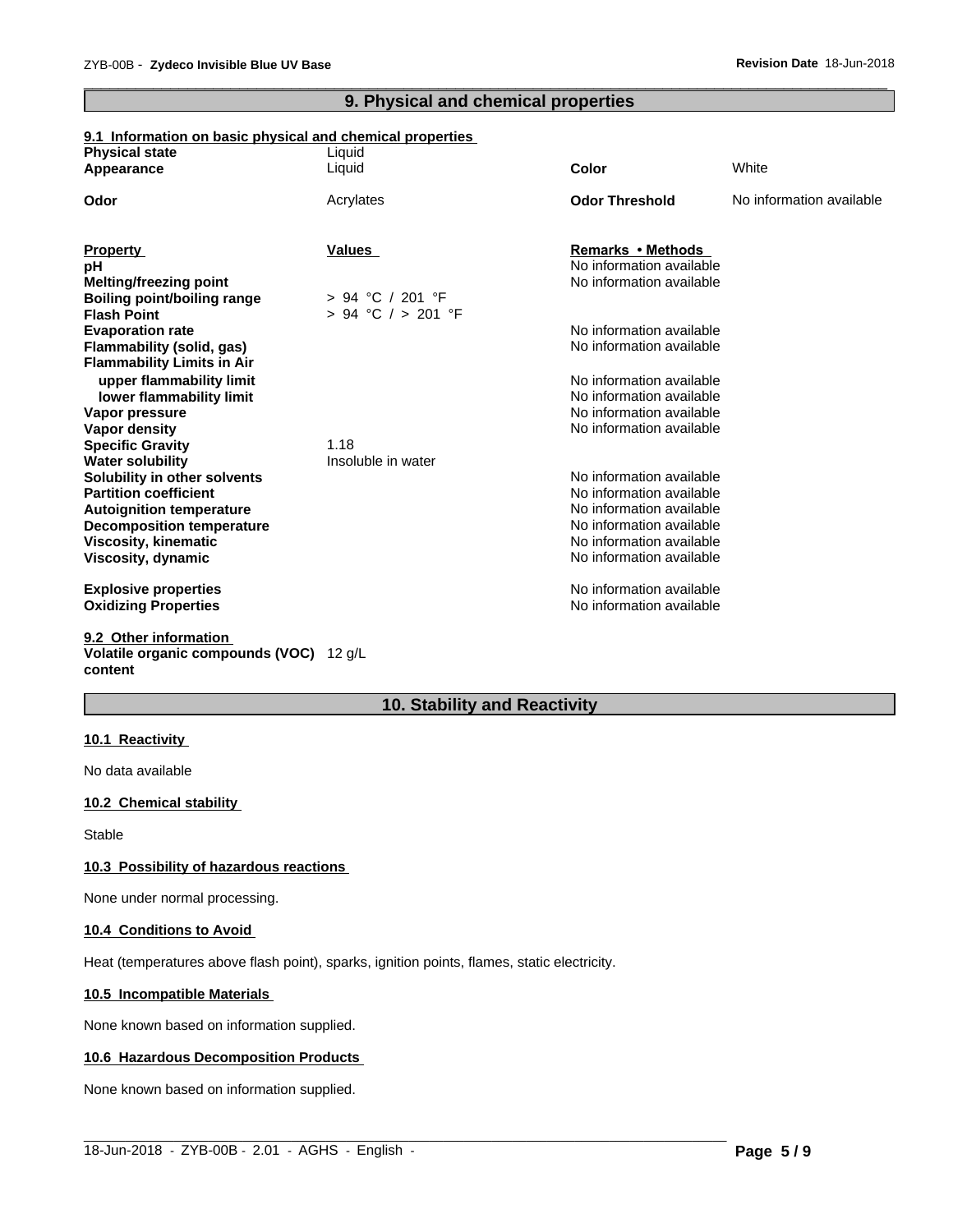# **9. Physical and chemical properties**

 $\overline{\phantom{a}}$  ,  $\overline{\phantom{a}}$  ,  $\overline{\phantom{a}}$  ,  $\overline{\phantom{a}}$  ,  $\overline{\phantom{a}}$  ,  $\overline{\phantom{a}}$  ,  $\overline{\phantom{a}}$  ,  $\overline{\phantom{a}}$  ,  $\overline{\phantom{a}}$  ,  $\overline{\phantom{a}}$  ,  $\overline{\phantom{a}}$  ,  $\overline{\phantom{a}}$  ,  $\overline{\phantom{a}}$  ,  $\overline{\phantom{a}}$  ,  $\overline{\phantom{a}}$  ,  $\overline{\phantom{a}}$ 

# **9.1 Information on basic physical and chemical properties**

| <b>Physical state</b>              | Liquid                 |                          |                          |
|------------------------------------|------------------------|--------------------------|--------------------------|
| Appearance                         | Liquid                 | <b>Color</b>             | White                    |
| Odor                               | Acrylates              | <b>Odor Threshold</b>    | No information available |
|                                    |                        |                          |                          |
| <b>Property</b>                    | <b>Values</b>          | Remarks • Methods        |                          |
| pH                                 |                        | No information available |                          |
| <b>Melting/freezing point</b>      |                        | No information available |                          |
| <b>Boiling point/boiling range</b> | $> 94$ °C / 201 °F     |                          |                          |
| <b>Flash Point</b>                 | $> 94$ °C $/ > 201$ °F |                          |                          |
| <b>Evaporation rate</b>            |                        | No information available |                          |
| Flammability (solid, gas)          |                        | No information available |                          |
| <b>Flammability Limits in Air</b>  |                        |                          |                          |
| upper flammability limit           |                        | No information available |                          |
| lower flammability limit           |                        | No information available |                          |
| Vapor pressure                     |                        | No information available |                          |
| <b>Vapor density</b>               |                        | No information available |                          |
| <b>Specific Gravity</b>            | 1.18                   |                          |                          |
| <b>Water solubility</b>            | Insoluble in water     |                          |                          |
| Solubility in other solvents       |                        | No information available |                          |
| <b>Partition coefficient</b>       |                        | No information available |                          |
| <b>Autoignition temperature</b>    |                        | No information available |                          |
| <b>Decomposition temperature</b>   |                        | No information available |                          |
| Viscosity, kinematic               |                        | No information available |                          |
| Viscosity, dynamic                 |                        | No information available |                          |
| <b>Explosive properties</b>        |                        | No information available |                          |
| <b>Oxidizing Properties</b>        |                        | No information available |                          |
| 9.2 Other information              |                        |                          |                          |
|                                    |                        |                          |                          |

**Volatile organic compounds (VOC)** 12 g/L **content**

# **10. Stability and Reactivity**

 $\_$  ,  $\_$  ,  $\_$  ,  $\_$  ,  $\_$  ,  $\_$  ,  $\_$  ,  $\_$  ,  $\_$  ,  $\_$  ,  $\_$  ,  $\_$  ,  $\_$  ,  $\_$  ,  $\_$  ,  $\_$  ,  $\_$  ,  $\_$  ,  $\_$  ,  $\_$  ,  $\_$  ,  $\_$  ,  $\_$  ,  $\_$  ,  $\_$  ,  $\_$  ,  $\_$  ,  $\_$  ,  $\_$  ,  $\_$  ,  $\_$  ,  $\_$  ,  $\_$  ,  $\_$  ,  $\_$  ,  $\_$  ,  $\_$  ,

#### **10.1 Reactivity**

No data available

### **10.2 Chemical stability**

Stable

#### **10.3 Possibility of hazardous reactions**

None under normal processing.

#### **10.4 Conditions to Avoid**

Heat (temperatures above flash point), sparks, ignition points, flames, static electricity.

#### **10.5 Incompatible Materials**

None known based on information supplied.

#### **10.6 Hazardous Decomposition Products**

None known based on information supplied.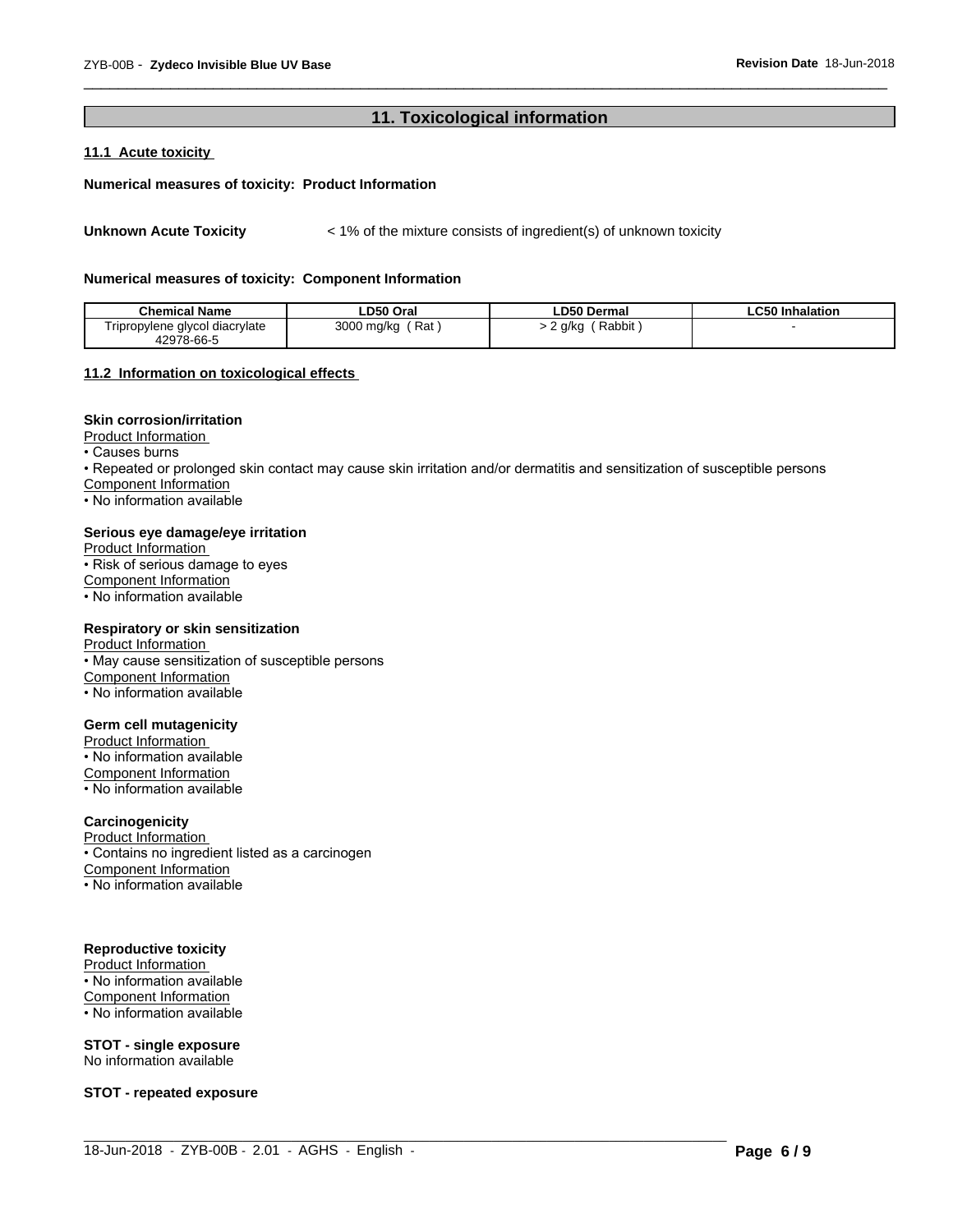# **11. Toxicological information**

 $\overline{\phantom{a}}$  ,  $\overline{\phantom{a}}$  ,  $\overline{\phantom{a}}$  ,  $\overline{\phantom{a}}$  ,  $\overline{\phantom{a}}$  ,  $\overline{\phantom{a}}$  ,  $\overline{\phantom{a}}$  ,  $\overline{\phantom{a}}$  ,  $\overline{\phantom{a}}$  ,  $\overline{\phantom{a}}$  ,  $\overline{\phantom{a}}$  ,  $\overline{\phantom{a}}$  ,  $\overline{\phantom{a}}$  ,  $\overline{\phantom{a}}$  ,  $\overline{\phantom{a}}$  ,  $\overline{\phantom{a}}$ 

# **11.1 Acute toxicity**

#### **Numerical measures of toxicity: Product Information**

Unknown Acute Toxicity  $\lt$  1% of the mixture consists of ingredient(s) of unknown toxicity

#### **Numerical measures of toxicity: Component Information**

| <b>Chemical Name</b>                         | LD50 Oral         | <b>LD50 Dermal</b>  | $\sim$ $\sim$ $\sim$<br><b>Inhalation</b><br>-650 |
|----------------------------------------------|-------------------|---------------------|---------------------------------------------------|
| Tripropylene glycol diacrylate<br>42978-66-5 | Rat<br>3000 mg/kg | Rabbit<br>a/ka<br>- |                                                   |

#### **11.2 Information on toxicologicaleffects**

#### **Skin corrosion/irritation**

Product Information

 $\overline{\cdot}$  Causes burns

• Repeated or prolonged skin contact may cause skin irritation and/or dermatitis and sensitization of susceptible persons

 $\_$  ,  $\_$  ,  $\_$  ,  $\_$  ,  $\_$  ,  $\_$  ,  $\_$  ,  $\_$  ,  $\_$  ,  $\_$  ,  $\_$  ,  $\_$  ,  $\_$  ,  $\_$  ,  $\_$  ,  $\_$  ,  $\_$  ,  $\_$  ,  $\_$  ,  $\_$  ,  $\_$  ,  $\_$  ,  $\_$  ,  $\_$  ,  $\_$  ,  $\_$  ,  $\_$  ,  $\_$  ,  $\_$  ,  $\_$  ,  $\_$  ,  $\_$  ,  $\_$  ,  $\_$  ,  $\_$  ,  $\_$  ,  $\_$  ,

Component Information

• No information available

#### **Serious eye damage/eye irritation**

Product Information • Risk of serious damage to eyes Component Information • No information available

#### **Respiratory or skin sensitization**

Product Information • May cause sensitization of susceptible persons Component Information • No information available

#### **Germ cell mutagenicity**

Product Information • No information available Component Information • No information available

#### **Carcinogenicity**

Product Information

• Contains no ingredient listed as a carcinogen

Component Information

• No information available

#### **Reproductive toxicity**

Product Information

• No information available Component Information

• No information available

**STOT - single exposure** No information available

**STOT - repeated exposure**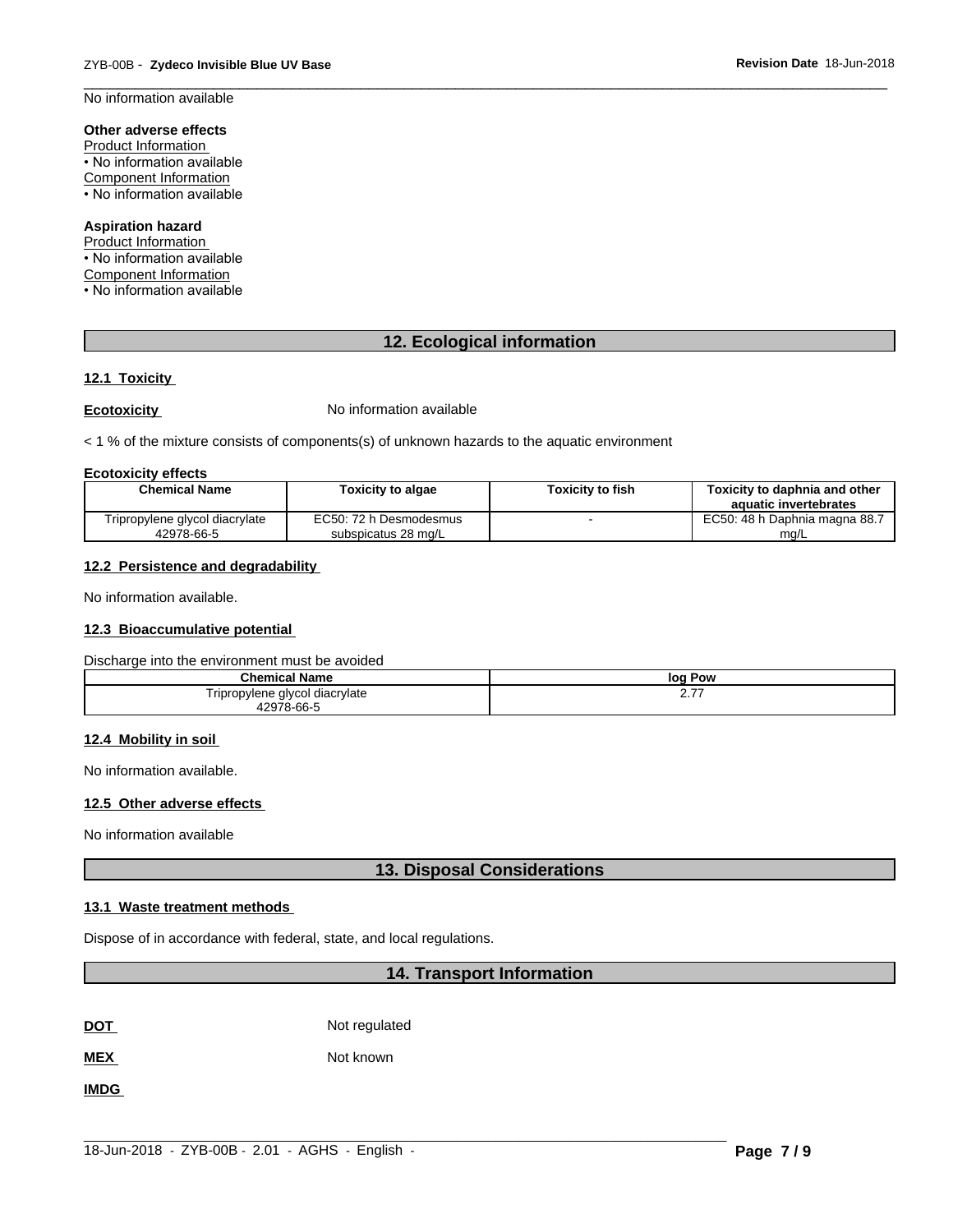$\overline{\phantom{a}}$  ,  $\overline{\phantom{a}}$  ,  $\overline{\phantom{a}}$  ,  $\overline{\phantom{a}}$  ,  $\overline{\phantom{a}}$  ,  $\overline{\phantom{a}}$  ,  $\overline{\phantom{a}}$  ,  $\overline{\phantom{a}}$  ,  $\overline{\phantom{a}}$  ,  $\overline{\phantom{a}}$  ,  $\overline{\phantom{a}}$  ,  $\overline{\phantom{a}}$  ,  $\overline{\phantom{a}}$  ,  $\overline{\phantom{a}}$  ,  $\overline{\phantom{a}}$  ,  $\overline{\phantom{a}}$ No information available

# **Other adverse effects**

Product Information • No information available Component Information • No information available

#### **Aspiration hazard**

Product Information • No information available Component Information • No information available

# **12. Ecological information**

# **12.1 Toxicity**

**Ecotoxicity No information available** 

 $<$  1 % of the mixture consists of components(s) of unknown hazards to the aquatic environment

#### **Ecotoxicity effects**

| <b>Chemical Name</b>           | <b>Toxicity to algae</b> | <b>Toxicity to fish</b> | <b>Toxicity to daphnia and other</b> |
|--------------------------------|--------------------------|-------------------------|--------------------------------------|
|                                |                          |                         |                                      |
|                                |                          |                         | aquatic invertebrates                |
| Tripropylene glycol diacrylate | EC50: 72 h Desmodesmus   |                         | EC50: 48 h Daphnia magna 88.7        |
| 42978-66-5                     | subspicatus 28 mg/L      |                         | mg/L                                 |

#### **12.2 Persistence and degradability**

No information available.

#### **12.3 Bioaccumulative potential**

Discharge into the environment must be avoided

| <b>Chemical Name</b>           | loq<br>Pow      |
|--------------------------------|-----------------|
| Tripropylene glycol diacrylate | ---<br><u>.</u> |
| 12078-66-5                     |                 |

#### **12.4 Mobility in soil**

No information available.

# **12.5 Other adverse effects**

No information available

# **13. Disposal Considerations**

#### **13.1 Waste treatment methods**

Dispose of in accordance with federal, state, and local regulations.

### **14. Transport Information**

**DOT** Not regulated

**MEX** Not known

**IMDG**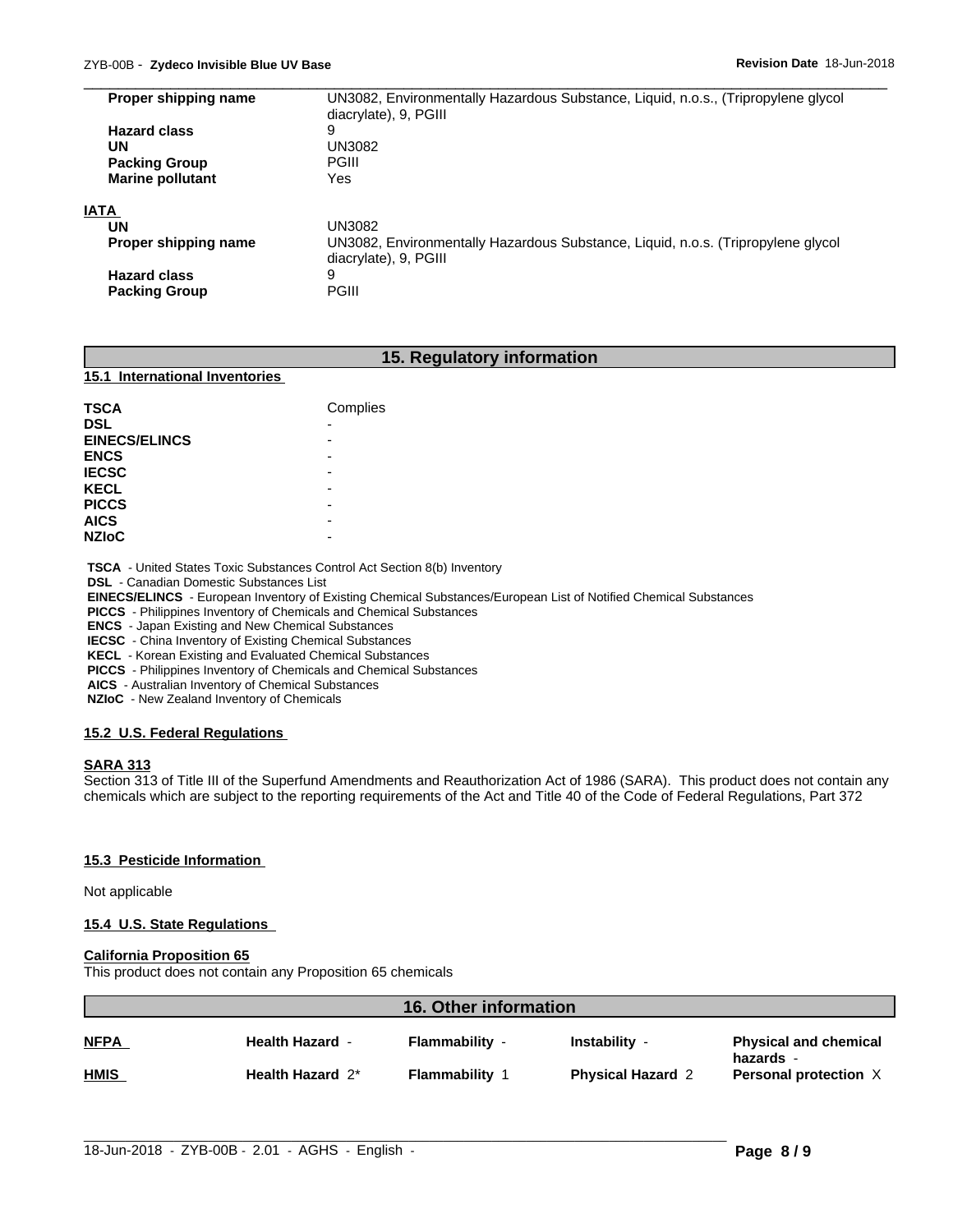| Proper shipping name    | UN3082, Environmentally Hazardous Substance, Liquid, n.o.s., (Tripropylene glycol |  |
|-------------------------|-----------------------------------------------------------------------------------|--|
|                         | diacrylate), 9, PGIII                                                             |  |
| <b>Hazard class</b>     | 9                                                                                 |  |
| UN                      | UN3082                                                                            |  |
| <b>Packing Group</b>    | PGIII                                                                             |  |
| <b>Marine pollutant</b> | Yes                                                                               |  |
| <b>IATA</b>             |                                                                                   |  |
| UN                      | UN3082                                                                            |  |
| Proper shipping name    | UN3082, Environmentally Hazardous Substance, Liquid, n.o.s. (Tripropylene glycol  |  |
|                         | diacrylate), 9, PGIII                                                             |  |
| <b>Hazard class</b>     | 9                                                                                 |  |
| <b>Packing Group</b>    | PGIII                                                                             |  |

 $\overline{\phantom{a}}$  ,  $\overline{\phantom{a}}$  ,  $\overline{\phantom{a}}$  ,  $\overline{\phantom{a}}$  ,  $\overline{\phantom{a}}$  ,  $\overline{\phantom{a}}$  ,  $\overline{\phantom{a}}$  ,  $\overline{\phantom{a}}$  ,  $\overline{\phantom{a}}$  ,  $\overline{\phantom{a}}$  ,  $\overline{\phantom{a}}$  ,  $\overline{\phantom{a}}$  ,  $\overline{\phantom{a}}$  ,  $\overline{\phantom{a}}$  ,  $\overline{\phantom{a}}$  ,  $\overline{\phantom{a}}$ 

# **15. Regulatory information**

#### **15.1 International Inventories**

| <b>TSCA</b>          | Complies                 |
|----------------------|--------------------------|
| <b>DSL</b>           | $\overline{\phantom{0}}$ |
| <b>EINECS/ELINCS</b> | -                        |
| <b>ENCS</b>          |                          |
| <b>IECSC</b>         | -                        |
| <b>KECL</b>          | -                        |
| <b>PICCS</b>         | -                        |
| <b>AICS</b>          | -                        |
| <b>NZIoC</b>         | -                        |

 **TSCA** - United States Toxic Substances Control Act Section 8(b) Inventory

 **DSL** - Canadian Domestic Substances List

 **EINECS/ELINCS** - European Inventory of Existing Chemical Substances/European List of Notified Chemical Substances

 **PICCS** - Philippines Inventory of Chemicals and Chemical Substances

 **ENCS** - Japan Existing and New Chemical Substances

 **IECSC** - China Inventory of Existing Chemical Substances

 **KECL** - Korean Existing and Evaluated Chemical Substances

 **PICCS** - Philippines Inventory of Chemicals and Chemical Substances

 **AICS** - Australian Inventory of Chemical Substances

 **NZIoC** - New Zealand Inventory of Chemicals

#### **15.2 U.S. Federal Regulations**

### **SARA 313**

Section 313 of Title III of the Superfund Amendments and Reauthorization Act of 1986 (SARA). This product does not contain any chemicals which are subject to the reporting requirements of the Act and Title 40 of the Code of Federal Regulations, Part 372

#### **15.3 Pesticide Information**

Not applicable

#### **15.4 U.S. State Regulations**

#### **California Proposition 65**

This product does not contain any Proposition 65 chemicals

| 16. Other information |                        |                       |                          |                                           |  |  |
|-----------------------|------------------------|-----------------------|--------------------------|-------------------------------------------|--|--|
| <b>NFPA</b>           | <b>Health Hazard -</b> | <b>Flammability -</b> | Instability -            | <b>Physical and chemical</b><br>hazards - |  |  |
| <b>HMIS</b>           | Health Hazard 2*       | <b>Flammability 1</b> | <b>Physical Hazard 2</b> | Personal protection X                     |  |  |